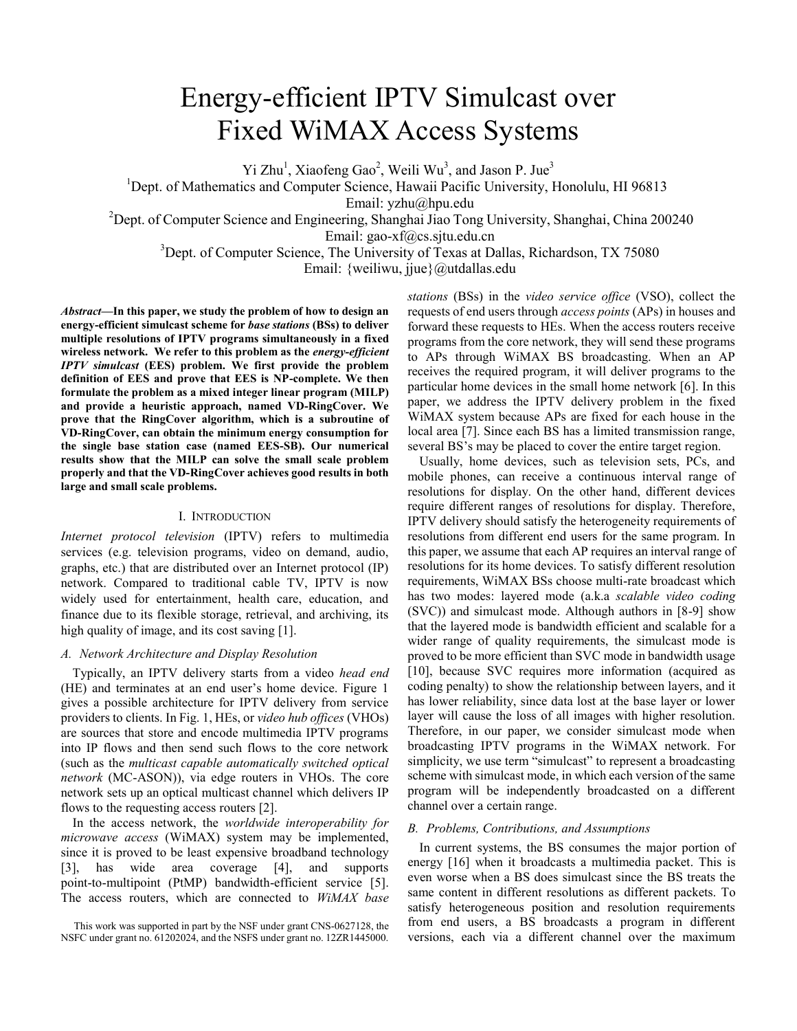# Energy-efficient IPTV Simulcast over Fixed WiMAX Access Systems

Yi Zhu<sup>1</sup>, Xiaofeng Gao<sup>2</sup>, Weili Wu<sup>3</sup>, and Jason P. Jue<sup>3</sup>

<sup>1</sup>Dept. of Mathematics and Computer Science, Hawaii Pacific University, Honolulu, HI 96813

Email: [yzhu@hpu.edu](mailto:yzhu@hpu.edu)

<sup>2</sup>Dept. of Computer Science and Engineering, Shanghai Jiao Tong University, Shanghai, China 200240

Email: gao-xf@cs.sjtu.edu.cn

<sup>3</sup>Dept. of Computer Science, The University of Texas at Dallas, Richardson, TX 75080

Email: {weiliwu, jjue}@utdallas.edu

*Abstract—***In this paper, we study the problem of how to design an energy-efficient simulcast scheme for** *base stations* **(BSs) to deliver multiple resolutions of IPTV programs simultaneously in a fixed wireless network. We refer to this problem as the** *energy-efficient IPTV simulcast* **(EES) problem. We first provide the problem definition of EES and prove that EES is NP-complete. We then formulate the problem as a mixed integer linear program (MILP) and provide a heuristic approach, named VD-RingCover. We prove that the RingCover algorithm, which is a subroutine of VD-RingCover, can obtain the minimum energy consumption for the single base station case (named EES-SB). Our numerical results show that the MILP can solve the small scale problem properly and that the VD-RingCover achieves good results in both large and small scale problems.**

# I. INTRODUCTION

*Internet protocol television* (IPTV) refers to multimedia services (e.g. television programs, video on demand, audio, graphs, etc.) that are distributed over an Internet protocol (IP) network. Compared to traditional cable TV, IPTV is now widely used for entertainment, health care, education, and finance due to its flexible storage, retrieval, and archiving, its high quality of image, and its cost saving [1].

## *A. Network Architecture and Display Resolution*

Typically, an IPTV delivery starts from a video *head end* (HE) and terminates at an end user's home device. Figure 1 gives a possible architecture for IPTV delivery from service providers to clients. In Fig. 1, HEs, or *video hub offices* (VHOs) are sources that store and encode multimedia IPTV programs into IP flows and then send such flows to the core network (such as the *multicast capable automatically switched optical network* (MC-ASON)), via edge routers in VHOs. The core network sets up an optical multicast channel which delivers IP flows to the requesting access routers [2].

In the access network, the *worldwide interoperability for microwave access* (WiMAX) system may be implemented, since it is proved to be least expensive broadband technology [3], has wide area coverage [4], and supports point-to-multipoint (PtMP) bandwidth-efficient service [5]. The access routers, which are connected to *WiMAX base*  *stations* (BSs) in the *video service office* (VSO), collect the requests of end users through *access points* (APs) in houses and forward these requests to HEs. When the access routers receive programs from the core network, they will send these programs to APs through WiMAX BS broadcasting. When an AP receives the required program, it will deliver programs to the particular home devices in the small home network [6]. In this paper, we address the IPTV delivery problem in the fixed WiMAX system because APs are fixed for each house in the local area [7]. Since each BS has a limited transmission range, several BS's may be placed to cover the entire target region.

Usually, home devices, such as television sets, PCs, and mobile phones, can receive a continuous interval range of resolutions for display. On the other hand, different devices require different ranges of resolutions for display. Therefore, IPTV delivery should satisfy the heterogeneity requirements of resolutions from different end users for the same program. In this paper, we assume that each AP requires an interval range of resolutions for its home devices. To satisfy different resolution requirements, WiMAX BSs choose multi-rate broadcast which has two modes: layered mode (a.k.a *scalable video coding* (SVC)) and simulcast mode. Although authors in [8-9] show that the layered mode is bandwidth efficient and scalable for a wider range of quality requirements, the simulcast mode is proved to be more efficient than SVC mode in bandwidth usage [10], because SVC requires more information (acquired as coding penalty) to show the relationship between layers, and it has lower reliability, since data lost at the base layer or lower layer will cause the loss of all images with higher resolution. Therefore, in our paper, we consider simulcast mode when broadcasting IPTV programs in the WiMAX network. For simplicity, we use term "simulcast" to represent a broadcasting scheme with simulcast mode, in which each version of the same program will be independently broadcasted on a different channel over a certain range.

## *B. Problems, Contributions, and Assumptions*

In current systems, the BS consumes the major portion of energy [16] when it broadcasts a multimedia packet. This is even worse when a BS does simulcast since the BS treats the same content in different resolutions as different packets. To satisfy heterogeneous position and resolution requirements from end users, a BS broadcasts a program in different versions, each via a different channel over the maximum

This work was supported in part by the NSF under grant CNS-0627128, the NSFC under grant no. 61202024, and the NSFS under grant no. 12ZR1445000.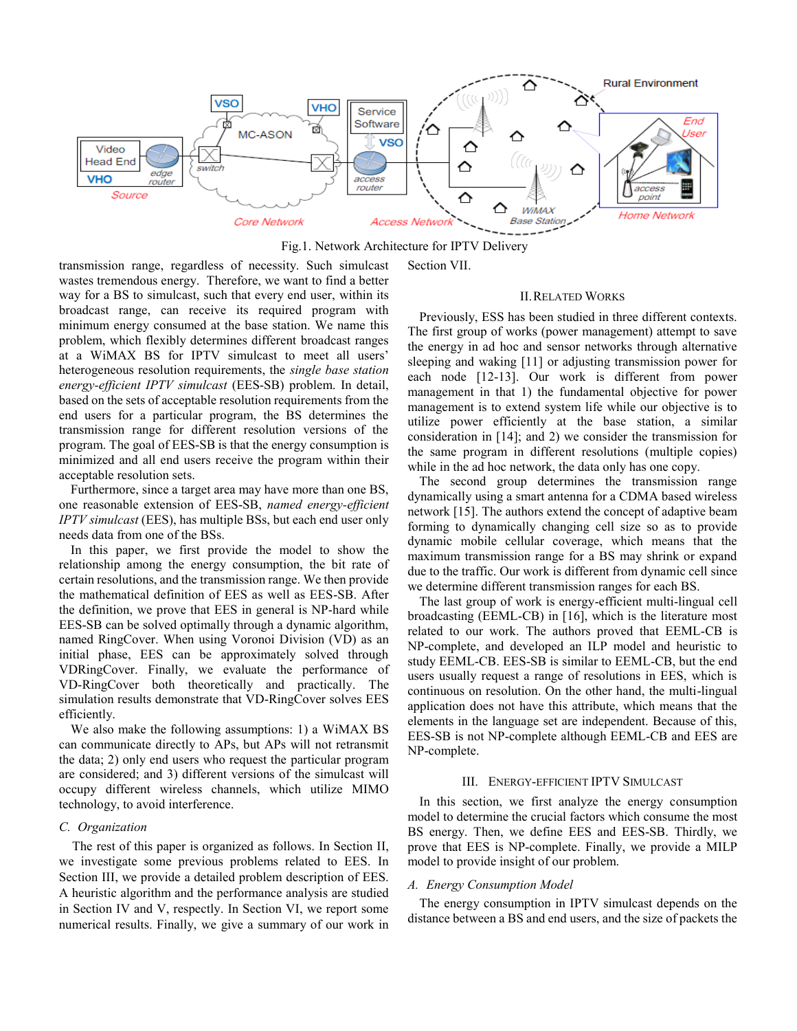

Fig.1. Network Architecture for IPTV Delivery

transmission range, regardless of necessity. Such simulcast wastes tremendous energy. Therefore, we want to find a better way for a BS to simulcast, such that every end user, within its broadcast range, can receive its required program with minimum energy consumed at the base station. We name this problem, which flexibly determines different broadcast ranges at a WiMAX BS for IPTV simulcast to meet all users' heterogeneous resolution requirements, the *single base station energy-efficient IPTV simulcast* (EES-SB) problem. In detail, based on the sets of acceptable resolution requirements from the end users for a particular program, the BS determines the transmission range for different resolution versions of the program. The goal of EES-SB is that the energy consumption is minimized and all end users receive the program within their acceptable resolution sets.

Furthermore, since a target area may have more than one BS, one reasonable extension of EES-SB, *named energy-efficient IPTV simulcast* (EES), has multiple BSs, but each end user only needs data from one of the BSs.

In this paper, we first provide the model to show the relationship among the energy consumption, the bit rate of certain resolutions, and the transmission range. We then provide the mathematical definition of EES as well as EES-SB. After the definition, we prove that EES in general is NP-hard while EES-SB can be solved optimally through a dynamic algorithm, named RingCover. When using Voronoi Division (VD) as an initial phase, EES can be approximately solved through VDRingCover. Finally, we evaluate the performance of VD-RingCover both theoretically and practically. The simulation results demonstrate that VD-RingCover solves EES efficiently.

We also make the following assumptions: 1) a WiMAX BS can communicate directly to APs, but APs will not retransmit the data; 2) only end users who request the particular program are considered; and 3) different versions of the simulcast will occupy different wireless channels, which utilize MIMO technology, to avoid interference.

# *C. Organization*

The rest of this paper is organized as follows. In Section II, we investigate some previous problems related to EES. In Section III, we provide a detailed problem description of EES. A heuristic algorithm and the performance analysis are studied in Section IV and V, respectly. In Section VI, we report some numerical results. Finally, we give a summary of our work in

Section VII.

## II.RELATED WORKS

Previously, ESS has been studied in three different contexts. The first group of works (power management) attempt to save the energy in ad hoc and sensor networks through alternative sleeping and waking [11] or adjusting transmission power for each node [12-13]. Our work is different from power management in that 1) the fundamental objective for power management is to extend system life while our objective is to utilize power efficiently at the base station, a similar consideration in [14]; and 2) we consider the transmission for the same program in different resolutions (multiple copies) while in the ad hoc network, the data only has one copy.

The second group determines the transmission range dynamically using a smart antenna for a CDMA based wireless network [15]. The authors extend the concept of adaptive beam forming to dynamically changing cell size so as to provide dynamic mobile cellular coverage, which means that the maximum transmission range for a BS may shrink or expand due to the traffic. Our work is different from dynamic cell since we determine different transmission ranges for each BS.

The last group of work is energy-efficient multi-lingual cell broadcasting (EEML-CB) in [16], which is the literature most related to our work. The authors proved that EEML-CB is NP-complete, and developed an ILP model and heuristic to study EEML-CB. EES-SB is similar to EEML-CB, but the end users usually request a range of resolutions in EES, which is continuous on resolution. On the other hand, the multi-lingual application does not have this attribute, which means that the elements in the language set are independent. Because of this, EES-SB is not NP-complete although EEML-CB and EES are NP-complete.

## III. ENERGY-EFFICIENT IPTV SIMULCAST

In this section, we first analyze the energy consumption model to determine the crucial factors which consume the most BS energy. Then, we define EES and EES-SB. Thirdly, we prove that EES is NP-complete. Finally, we provide a MILP model to provide insight of our problem.

## *A. Energy Consumption Model*

The energy consumption in IPTV simulcast depends on the distance between a BS and end users, and the size of packets the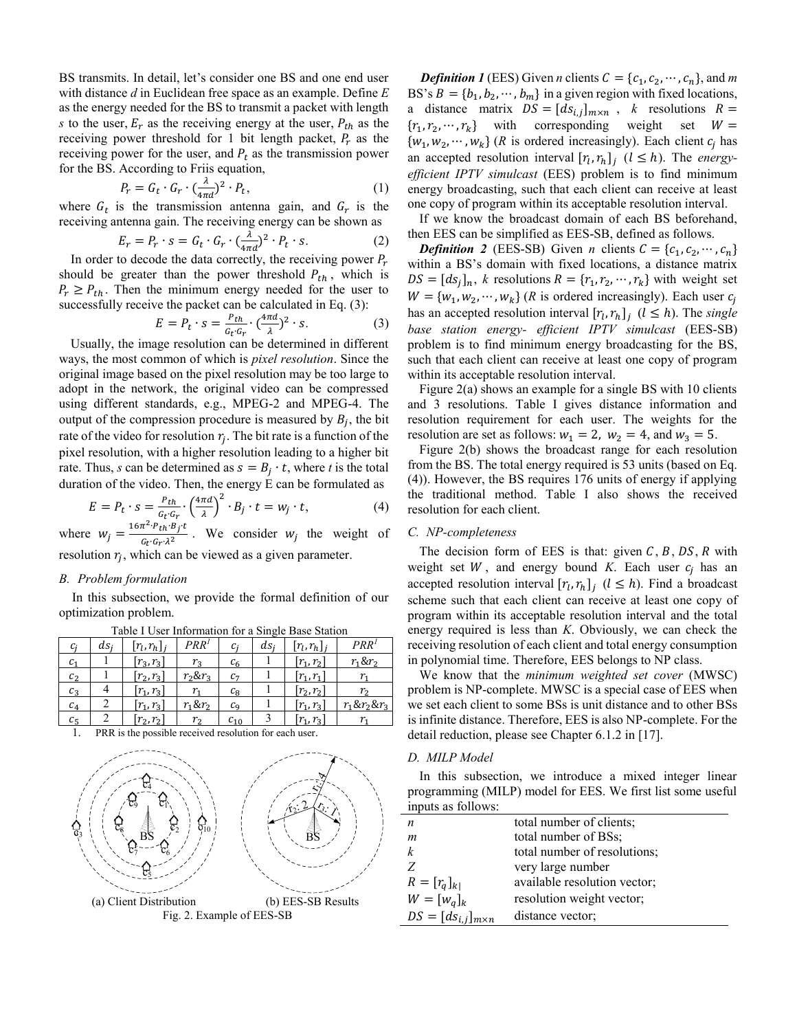BS transmits. In detail, let's consider one BS and one end user with distance *d* in Euclidean free space as an example. Define *E* as the energy needed for the BS to transmit a packet with length *s* to the user,  $E_r$  as the receiving energy at the user,  $P_{th}$  as the receiving power threshold for 1 bit length packet,  $P_r$  as the receiving power for the user, and  $P_t$  as the transmission power for the BS. According to Friis equation,

$$
P_r = G_t \cdot G_r \cdot \left(\frac{\lambda}{4\pi d}\right)^2 \cdot P_t,\tag{1}
$$

where  $G_t$  is the transmission antenna gain, and  $G_t$  is the receiving antenna gain. The receiving energy can be shown as

$$
E_r = P_r \cdot s = G_t \cdot G_r \cdot (\frac{\lambda}{4\pi d})^2 \cdot P_t \cdot s. \tag{2}
$$

In order to decode the data correctly, the receiving power  $P_r$ should be greater than the power threshold  $P_{th}$ , which is  $P_r \geq P_{th}$ . Then the minimum energy needed for the user to successfully receive the packet can be calculated in Eq. (3):

$$
E = P_t \cdot s = \frac{P_{th}}{G_t \cdot G_r} \cdot \left(\frac{4\pi d}{\lambda}\right)^2 \cdot s. \tag{3}
$$

Usually, the image resolution can be determined in different ways, the most common of which is *pixel resolution*. Since the original image based on the pixel resolution may be too large to adopt in the network, the original video can be compressed using different standards, e.g., MPEG-2 and MPEG-4. The output of the compression procedure is measured by  $B_i$ , the bit rate of the video for resolution  $r_i$ . The bit rate is a function of the pixel resolution, with a higher resolution leading to a higher bit rate. Thus, *s* can be determined as  $s = B_i \cdot t$ , where *t* is the total duration of the video. Then, the energy E can be formulated as

$$
E = P_t \cdot s = \frac{P_{th}}{G_t \cdot G_r} \cdot \left(\frac{4\pi d}{\lambda}\right)^2 \cdot B_j \cdot t = w_j \cdot t,\tag{4}
$$

where  $W_i = \frac{16\pi^2 \cdot P_{th} \cdot B_j}{g}$  $\frac{(a + t_B B)^2}{G_t G_r \lambda^2}$ . We consider  $w_j$  the weight of resolution  $r_i$ , which can be viewed as a given parameter.

#### *B. Problem formulation*

In this subsection, we provide the formal definition of our optimization problem.

| ----           |        |                |                |              |     |                |                     |
|----------------|--------|----------------|----------------|--------------|-----|----------------|---------------------|
| C:             | $ds_i$ | $[r_l, r_h]_j$ | PRR'           | $c_i$        | ds; | $[r_l, r_h]_j$ | $PRR^I$             |
| $c_{1}$        |        | $r_3, r_3$     | $r_{\rm o}$    | $c_{\kappa}$ |     | $r_1, r_2$     | $r_1$ & $r_2$       |
| c <sub>2</sub> |        | $ r_2, r_3 $   | $r_2$ & $r_3$  | C7           |     | $r_1, r_1$     |                     |
| $c_3$          |        | $r_1, r_3$     |                | $c_{8}$      |     | $[r_2, r_2]$   |                     |
| $c_4$          |        | $r_1, r_3$     | $r_1$ & $r_2$  | $c_{9}$      |     | $r_1, r_3$     | $r_1 \& r_2 \& r_3$ |
| $c_{5}$        |        | $[r_2, r_2]$   | r <sub>2</sub> | $c_{10}$     |     | $ r_1, r_3 $   |                     |

Table I User Information for a Single Base Station

1. PRR is the possible received resolution for each user.



**Definition** 1 (EES) Given *n* clients  $C = \{c_1, c_2, \dots, c_n\}$ , and *m* BS's  $B = \{b_1, b_2, \dots, b_m\}$  in a given region with fixed locations, a distance matrix  $DS = [ds_{i,j}]_{m \times n}$ , k resolutions  $\{r_1, r_2, \dots, r_k\}$  with corresponding weight set  $\{w_1, w_2, \dots, w_k\}$  (*R* is ordered increasingly). Each client  $c_i$  has an accepted resolution interval  $[r_l, r_h]_i$   $(l \leq h)$ . The *energyefficient IPTV simulcast* (EES) problem is to find minimum energy broadcasting, such that each client can receive at least one copy of program within its acceptable resolution interval.

If we know the broadcast domain of each BS beforehand, then EES can be simplified as EES-SB, defined as follows.

*Definition 2* (EES-SB) Given *n* clients within a BS's domain with fixed locations, a distance matrix  $DS = [ds_i]_n$ , k resolutions  $R = \{r_1, r_2, \dots, r_k\}$  with weight set  $W = \{w_1, w_2, \dots, w_k\}$  (*R* is ordered increasingly). Each user has an accepted resolution interval  $[r_l, r_h]_i$   $(l \leq h)$ . The *single base station energy- efficient IPTV simulcast* (EES-SB) problem is to find minimum energy broadcasting for the BS, such that each client can receive at least one copy of program within its acceptable resolution interval.

Figure 2(a) shows an example for a single BS with 10 clients and 3 resolutions. Table I gives distance information and resolution requirement for each user. The weights for the resolution are set as follows:  $w_1 = 2$ ,  $w_2 = 4$ , and  $w_3 = 5$ .

Figure 2(b) shows the broadcast range for each resolution from the BS. The total energy required is 53 units (based on Eq. (4)). However, the BS requires 176 units of energy if applying the traditional method. Table I also shows the received resolution for each client.

## *C. NP-completeness*

The decision form of EES is that: given  $C$ ,  $B$ ,  $DS$ ,  $R$  with weight set  $W$ , and energy bound  $K$ . Each user  $c_i$  has an accepted resolution interval  $[r_l, r_h]_i$   $(l \leq h)$ . Find a broadcast scheme such that each client can receive at least one copy of program within its acceptable resolution interval and the total energy required is less than *K*. Obviously, we can check the receiving resolution of each client and total energy consumption in polynomial time. Therefore, EES belongs to NP class.

We know that the *minimum weighted set cover* (MWSC) problem is NP-complete. MWSC is a special case of EES when we set each client to some BSs is unit distance and to other BSs is infinite distance. Therefore, EES is also NP-complete. For the detail reduction, please see Chapter 6.1.2 in [17].

#### *D. MILP Model*

In this subsection, we introduce a mixed integer linear programming (MILP) model for EES. We first list some useful inputs as follows:

| n                              | total number of clients;     |
|--------------------------------|------------------------------|
| m                              | total number of BSs;         |
| k                              | total number of resolutions; |
| Z                              | very large number            |
| $R = [r_{q}]_{k}$              | available resolution vector; |
| $W=[w_q]_k$                    | resolution weight vector;    |
| $DS = [ds_{i,j}]_{m \times n}$ | distance vector;             |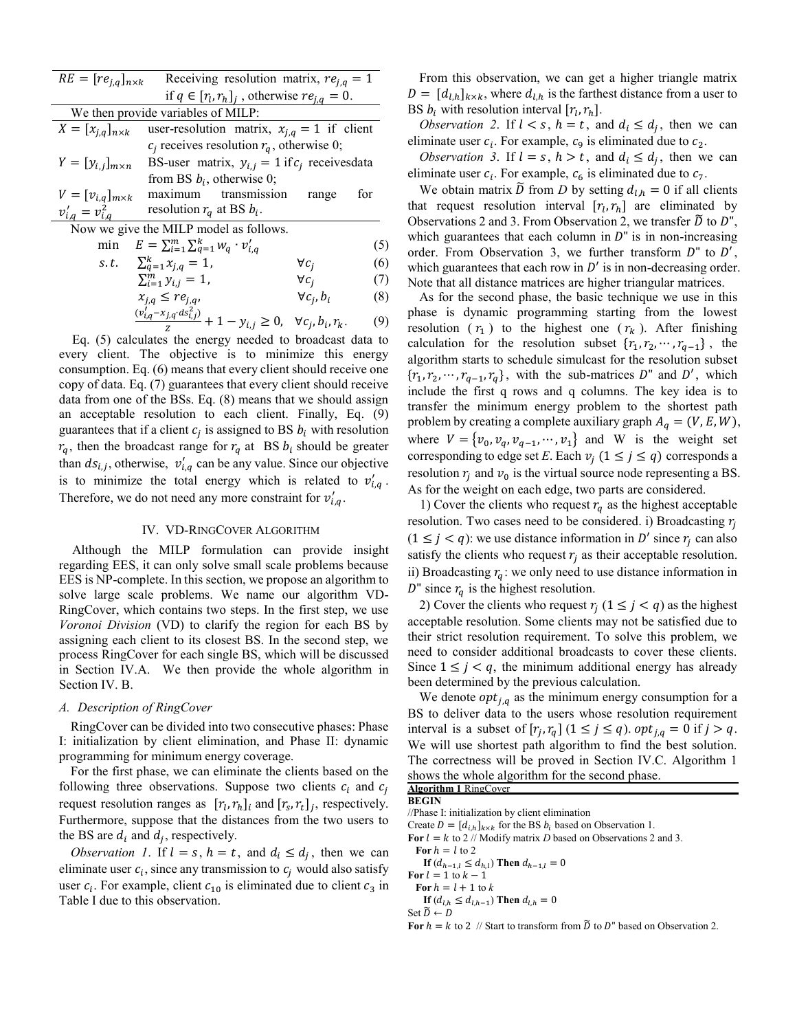| $RE = [re_{j,q}]_{n \times k}$     | Receiving resolution matrix, $re_{i,q} = 1$          |  |  |  |  |
|------------------------------------|------------------------------------------------------|--|--|--|--|
|                                    | if $q \in [r_l, r_h]_i$ , otherwise $re_{i,q} = 0$ . |  |  |  |  |
| We then provide variables of MILP: |                                                      |  |  |  |  |
| $X = [x_{j,q}]_{n \times k}$       | user-resolution matrix, $x_{i,q} = 1$ if client      |  |  |  |  |
|                                    | $c_i$ receives resolution $r_q$ , otherwise 0;       |  |  |  |  |
| $Y = [y_{i,j}]_{m \times n}$       | BS-user matrix, $y_{i,j} = 1$ if $c_j$ receives data |  |  |  |  |
|                                    | from BS $b_i$ , otherwise 0;                         |  |  |  |  |
| $V=[v_{i,q}]_{m\times k}$          | maximum transmission<br>for<br>range                 |  |  |  |  |
| $v'_{i,q} = v^2_{i,q}$             | resolution $r_q$ at BS $b_i$ .                       |  |  |  |  |

Now we give the MILP model as follows.

min 
$$
E = \sum_{i=1}^{m} \sum_{q=1}^{k} w_q \cdot v'_{i,q}
$$
 (5)  
\ns.t.  $\sum_{q=1}^{k} x_{j,q} = 1$ ,  $\forall c_j$  (6)  
\n $\sum_{i=1}^{m} y_{i,j} = 1$ ,  $\forall c_j$  (7)

$$
\begin{aligned}\n\mathcal{L}_{i=1} & \mathcal{V}_{i,j} & -1, & \mathcal{V}_{i,j} & & (\prime) \\
\mathcal{X}_{j,q} &\leq r e_{j,q}, & \forall c_j, b_i & & (8) \\
\mathcal{W} & \neg \mathcal{X} & \neg \mathcal{A} \circ \mathcal{A}^2\n\end{aligned}
$$

$$
\frac{(v'_{i,q} - x_{j,q} \cdot ds'_{i,j})}{z} + 1 - y_{i,j} \ge 0, \quad \forall c_j, b_i, r_k. \tag{9}
$$

Eq. (5) calculates the energy needed to broadcast data to every client. The objective is to minimize this energy consumption. Eq. (6) means that every client should receive one copy of data. Eq. (7) guarantees that every client should receive data from one of the BSs. Eq. (8) means that we should assign an acceptable resolution to each client. Finally, Eq. (9) guarantees that if a client  $c_i$  is assigned to BS  $b_i$  with resolution  $r_a$ , then the broadcast range for  $r_a$  at BS  $b_i$  should be greater than  $ds_{i,j}$ , otherwise,  $v'_{i,q}$  can be any value. Since our objective is to minimize the total energy which is related to  $v'_{i,q}$ . Therefore, we do not need any more constraint for  $v'_{i,q}$ .

#### IV. VD-RINGCOVER ALGORITHM

Although the MILP formulation can provide insight regarding EES, it can only solve small scale problems because EES is NP-complete. In this section, we propose an algorithm to solve large scale problems. We name our algorithm VD-RingCover, which contains two steps. In the first step, we use *Voronoi Division* (VD) to clarify the region for each BS by assigning each client to its closest BS. In the second step, we process RingCover for each single BS, which will be discussed in Section IV.A. We then provide the whole algorithm in Section IV. B.

## *A. Description of RingCover*

RingCover can be divided into two consecutive phases: Phase I: initialization by client elimination, and Phase II: dynamic programming for minimum energy coverage.

For the first phase, we can eliminate the clients based on the following three observations. Suppose two clients  $c_i$  and  $c_j$ request resolution ranges as  $[r_l, r_h]_i$  and  $[r_s, r_t]_i$ , respectively. Furthermore, suppose that the distances from the two users to the BS are  $d_i$  and  $d_j$ , respectively.

*Observation 1.* If  $l = s$ ,  $h = t$ , and  $d_i \le d_i$ , then we can eliminate user  $c_i$ , since any transmission to  $c_i$  would also satisfy user  $c_i$ . For example, client  $c_{10}$  is eliminated due to client  $c_3$  in Table I due to this observation.

From this observation, we can get a higher triangle matrix  $D = [d_{l,h}]_{k \times k}$ , where  $d_{l,h}$  is the farthest distance from a user to BS  $b_i$  with resolution interval  $[r_l, r_h]$ .

*Observation 2.* If  $l < s$ ,  $h = t$ , and  $d_i \leq d_i$ , then we can eliminate user  $c_i$ . For example,  $c_9$  is eliminated due to  $c_2$ .

*Observation* 3. If  $l = s$ ,  $h > t$ , and  $d_i \le d_j$ , then we can eliminate user  $c_i$ . For example,  $c_6$  is eliminated due to  $c_7$ .

We obtain matrix  $\overline{D}$  from *D* by setting  $d_{l,h} = 0$  if all clients that request resolution interval  $[r_l, r_h]$  are eliminated by Observations 2 and 3. From Observation 2, we transfer  $\tilde{D}$  to  $D^{\prime\prime}$ , which guarantees that each column in  $D''$  is in non-increasing order. From Observation 3, we further transform  $D''$  to  $D'$ , which guarantees that each row in  $D'$  is in non-decreasing order. Note that all distance matrices are higher triangular matrices.

As for the second phase, the basic technique we use in this phase is dynamic programming starting from the lowest resolution  $(r_1)$  to the highest one  $(r_k)$ . After finishing calculation for the resolution subset  $\{r_1, r_2, \dots, r_{q-1}\}$ , the algorithm starts to schedule simulcast for the resolution subset  $\{r_1, r_2, \cdots, r_{q-1}, r_q\}$ , with the sub-matrices D" and D', which include the first q rows and q columns. The key idea is to transfer the minimum energy problem to the shortest path problem by creating a complete auxiliary graph  $A_q = (V, E, W)$ , where  $V = \{v_0, v_a, v_{a-1}, \dots, v_1\}$  and W is the weight set corresponding to edge set *E*. Each  $v_i$  ( $1 \le j \le q$ ) corresponds a resolution  $r_i$  and  $v_0$  is the virtual source node representing a BS. As for the weight on each edge, two parts are considered.

1) Cover the clients who request  $r_q$  as the highest acceptable resolution. Two cases need to be considered. i) Broadcasting  $r_i$  $(1 \leq j \leq q)$ : we use distance information in D' since  $r_i$  can also satisfy the clients who request  $r_i$  as their acceptable resolution. ii) Broadcasting  $r_q$ : we only need to use distance information in  $D^{\prime\prime}$  since  $r_a$  is the highest resolution.

2) Cover the clients who request  $r_i$  ( $1 \le j \le q$ ) as the highest acceptable resolution. Some clients may not be satisfied due to their strict resolution requirement. To solve this problem, we need to consider additional broadcasts to cover these clients. Since  $1 \leq j \leq q$ , the minimum additional energy has already been determined by the previous calculation.

We denote  $opt_{i,q}$  as the minimum energy consumption for a BS to deliver data to the users whose resolution requirement interval is a subset of  $[r_i, r_a]$   $(1 \le j \le q)$ .  $opt_{i,q} = 0$  if  $j > q$ . We will use shortest path algorithm to find the best solution. The correctness will be proved in Section IV.C. Algorithm 1 shows the whole algorithm for the second phase.

| <b>Algorithm 1 RingCover</b>                                                          |
|---------------------------------------------------------------------------------------|
| <b>BEGIN</b>                                                                          |
| //Phase I: initialization by client elimination                                       |
| Create $D = [d_{i}{}_{h}]_{k \times k}$ for the BS $b_i$ based on Observation 1.      |
| For $l = k$ to 2 // Modify matrix D based on Observations 2 and 3.                    |
| For $h = l$ to 2.                                                                     |
| If $(d_{h-1} \leq d_{h,l})$ Then $d_{h-1} = 0$                                        |
| <b>For</b> $l = 1$ to $k = 1$                                                         |
| For $h = l + 1$ to k                                                                  |
| If $(d_{1,h} \leq d_{1,h-1})$ Then $d_{1,h} = 0$                                      |
| Set $\widetilde{D} \leftarrow D$                                                      |
| For $h = k$ to 2 // Start to transform from $\tilde{D}$ to D" based on Observation 2. |
|                                                                                       |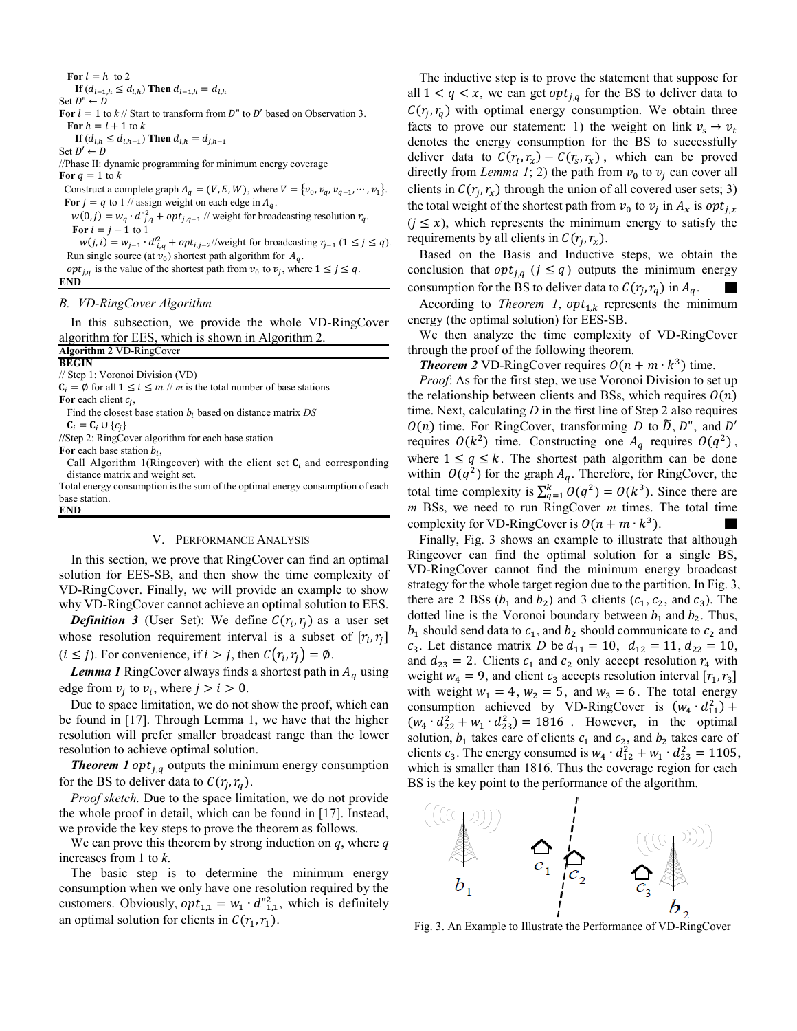**For**  $l = h$  to 2. **If**  $(d_{l-1,h} \leq d_{l,h})$  **Then**  $d_{l-1,h} = d_{l,h}$ Set  $D'' \leftarrow D$ For  $l = 1$  to  $k$  // Start to transform from  $D''$  to  $D'$  based on Observation 3. For  $h = l + 1$  to  $k$ **If**  $(d_{1h} \leq d_{1h-1})$  **Then** d Set  $D' \leftarrow D$ //Phase II: dynamic programming for minimum energy coverage For  $q = 1$  to  $k$ Construct a complete graph  $A_a = (V, E, W)$ , where  $V = \{v_0, v_a, v_{a-1}, \dots, v_1\}$ . For  $j = q$  to 1 // assign weight on each edge in  $A_q$ .  $d''_{ia}^2 + opt_{ia-1}$  // weight for broadcasting resolution  $r_a$ . **For**  $i = j - 1$  to 1  $d'^2_{i,q} + opt_{i,j-2}/\text{weight}$  for broadcasting  $r_{j-1}$   $(1 \le j \le q)$ . Run single source (at  $v_0$ ) shortest path algorithm for  $A_a$ . is the value of the shortest path from  $v_0$  to  $v_i$ , where  $1 \le j \le q$ . **END**

#### *B. VD-RingCover Algorithm*

In this subsection, we provide the whole VD-RingCover algorithm for EES, which is shown in Algorithm 2. **Algorithm 2** VD-RingCover

**BEGIN**

// Step 1: Voronoi Division (VD)

 $C_i = \emptyset$  for all  $1 \le i \le m$  // *m* is the total number of base stations

For each client  $c_i$ ,

Find the closest base station  $b_i$  based on distance matrix  $DS$ 

 $C_i = C_i \cup \{c_j\}$ 

**//**Step 2: RingCover algorithm for each base station

For each base station  $b_i$ ,

Call Algorithm 1(Ringcover) with the client set  $C_i$  and corresponding distance matrix and weight set.

Total energy consumption is the sum of the optimal energy consumption of each base station. **END**

#### V. PERFORMANCE ANALYSIS

In this section, we prove that RingCover can find an optimal solution for EES-SB, and then show the time complexity of VD-RingCover. Finally, we will provide an example to show why VD-RingCover cannot achieve an optimal solution to EES.

**Definition 3** (User Set): We define  $C(r_i, r_i)$  as a user set whose resolution requirement interval is a subset of  $[r_i, r_j]$  $(i \leq j)$ . For convenience, if  $i > j$ , then  $C(r_i, r_j) = \emptyset$ .

**Lemma 1** RingCover always finds a shortest path in  $A_q$  using edge from  $v_i$  to  $v_i$ , where  $j > i > 0$ .

Due to space limitation, we do not show the proof, which can be found in [17]. Through Lemma 1, we have that the higher resolution will prefer smaller broadcast range than the lower resolution to achieve optimal solution.

**Theorem 1** opt<sub>j,q</sub> outputs the minimum energy consumption for the BS to deliver data to  $C(r_i, r_a)$ .

*Proof sketch.* Due to the space limitation, we do not provide the whole proof in detail, which can be found in [17]. Instead, we provide the key steps to prove the theorem as follows.

We can prove this theorem by strong induction on *q*, where *q* increases from 1 to *k*.

The basic step is to determine the minimum energy consumption when we only have one resolution required by the customers. Obviously,  $opt_{1,1} = w_1 \cdot d_{1,1}^2$ , which is definitely an optimal solution for clients in  $C(r_1, r_1)$ .

The inductive step is to prove the statement that suppose for all  $1 < q < x$ , we can get *opt<sub>i,g</sub>* for the BS to deliver data to  $C(r_i, r_a)$  with optimal energy consumption. We obtain three facts to prove our statement: 1) the weight on link  $v_s \rightarrow v_t$ denotes the energy consumption for the BS to successfully deliver data to  $C(r_t, r_x) - C(r_s, r_x)$ , which can be proved directly from *Lemma 1*; 2) the path from  $v_0$  to  $v_i$  can cover all clients in  $C(r_i, r_x)$  through the union of all covered user sets; 3) the total weight of the shortest path from  $v_0$  to  $v_i$  in  $A_x$  is  $(j \leq x)$ , which represents the minimum energy to satisfy the requirements by all clients in  $C(r_i, r_x)$ .

Based on the Basis and Inductive steps, we obtain the conclusion that  $opt_{j,q}$   $(j \leq q)$  outputs the minimum energy consumption for the BS to deliver data to  $C(r_i, r_a)$  in  $A_a$ .

According to *Theorem 1*,  $opt_{1,k}$  represents the minimum energy (the optimal solution) for EES-SB.

We then analyze the time complexity of VD-RingCover through the proof of the following theorem.

**Theorem 2** VD-RingCover requires  $O(n + m \cdot k^3)$  time.

*Proof*: As for the first step, we use Voronoi Division to set up the relationship between clients and BSs, which requires  $O(n)$ time. Next, calculating *D* in the first line of Step 2 also requires  $O(n)$  time. For RingCover, transforming *D* to  $\overline{D}$ ,  $D''$ , and  $D'$ requires  $O(k^2)$  time. Constructing one  $A_a$  requires  $O(q^2)$ , where  $1 \le q \le k$ . The shortest path algorithm can be done within  $O(q^2)$  for the graph  $A_q$ . Therefore, for RingCover, the total time complexity is  $\sum_{q=1}^{k} O(q^2) = O(k^3)$ . Since there are *m* BSs, we need to run RingCover *m* times. The total time complexity for VD-RingCover is  $O(n + m \cdot k^3)$  $\blacksquare$ 

Finally, Fig. 3 shows an example to illustrate that although Ringcover can find the optimal solution for a single BS, VD-RingCover cannot find the minimum energy broadcast strategy for the whole target region due to the partition. In Fig. 3, there are 2 BSs  $(b_1 \text{ and } b_2)$  and 3 clients  $(c_1, c_2, \text{ and } c_3)$ . The dotted line is the Voronoi boundary between  $b_1$  and  $b_2$ . Thus,  $b_1$  should send data to  $c_1$ , and  $b_2$  should communicate to  $c_2$  and  $c_3$ . Let distance matrix *D* be  $d_{11} = 10$ ,  $d_{12} = 11$ ,  $d_{22} = 10$ , and  $d_{23} = 2$ . Clients  $c_1$  and  $c_2$  only accept resolution  $r_4$  with weight  $w_4 = 9$ , and client  $c_3$  accepts resolution interval  $[r_1, r_3]$ with weight  $w_1 = 4$ ,  $w_2 = 5$ , and  $w_3 = 6$ . The total energy consumption achieved by VD-RingCover is  $(w_4 \cdot d_{11}^2)$  $(w_4 \cdot d_{22}^2 + w_1 \cdot d_{23}^2) = 1816$ . However, in the optimal solution,  $b_1$  takes care of clients  $c_1$  and  $c_2$ , and  $b_2$  takes care of clients  $c_3$ . The energy consumed is  $w_4 \cdot d_{12}^2 + w_1 \cdot d_{23}^2 = 1105$ , which is smaller than 1816. Thus the coverage region for each BS is the key point to the performance of the algorithm.



Fig. 3. An Example to Illustrate the Performance of VD-RingCover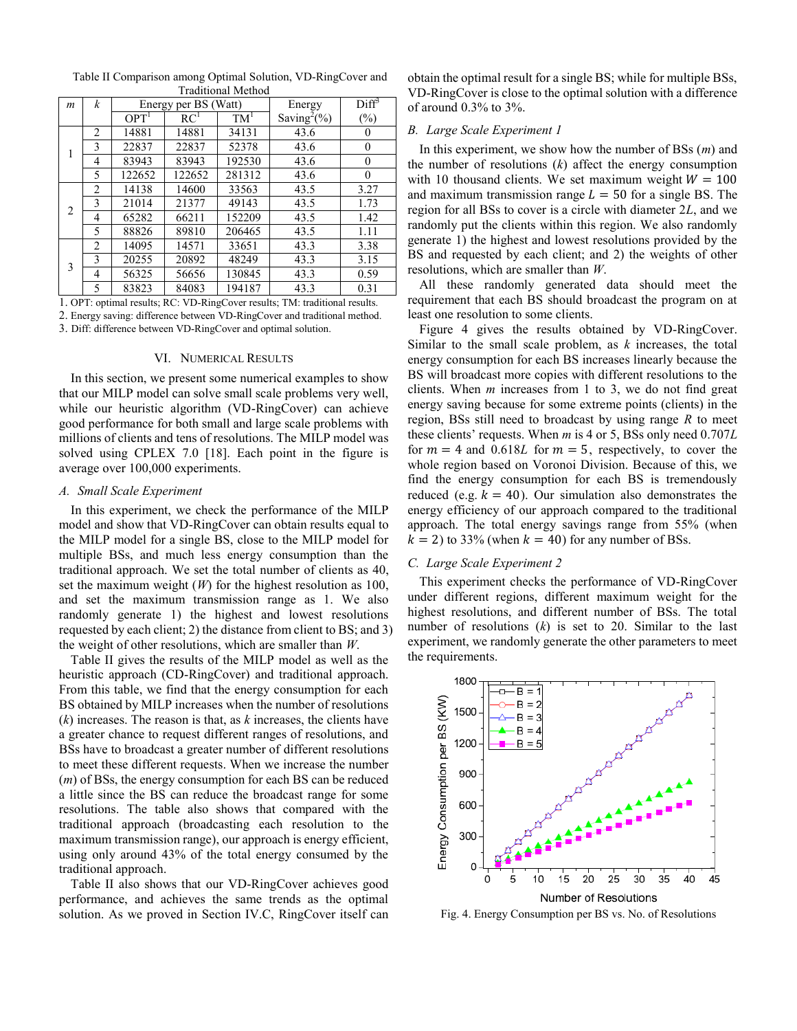| Hauitional ivictiivu |                |                  |                      |        |                            |          |  |  |
|----------------------|----------------|------------------|----------------------|--------|----------------------------|----------|--|--|
| m                    | k              |                  | Energy per BS (Watt) |        | Energy                     | Diff     |  |  |
|                      |                | OPT <sup>1</sup> | RC <sup>1</sup>      | $TM^1$ | Saving <sup>2</sup> $(\%)$ | $(\%)$   |  |  |
| 1                    | 2              | 14881            | 14881                | 34131  | 43.6                       | $\theta$ |  |  |
|                      | $\mathcal{E}$  | 22837            | 22837                | 52378  | 43.6                       | $\theta$ |  |  |
|                      | 4              | 83943            | 83943                | 192530 | 43.6                       | $\theta$ |  |  |
|                      | 5              | 122652           | 122652               | 281312 | 43.6                       | $\theta$ |  |  |
| $\overline{c}$       | 2              | 14138            | 14600                | 33563  | 43.5                       | 3.27     |  |  |
|                      | $\mathcal{E}$  | 21014            | 21377                | 49143  | 43.5                       | 1.73     |  |  |
|                      | 4              | 65282            | 66211                | 152209 | 43.5                       | 1.42     |  |  |
|                      | 5              | 88826            | 89810                | 206465 | 43.5                       | 1.11     |  |  |
| 3                    | $\overline{2}$ | 14095            | 14571                | 33651  | 43.3                       | 3.38     |  |  |
|                      | 3              | 20255            | 20892                | 48249  | 43.3                       | 3.15     |  |  |
|                      | 4              | 56325            | 56656                | 130845 | 43.3                       | 0.59     |  |  |
|                      | 5              | 83823            | 84083                | 194187 | 43.3                       | 0.31     |  |  |

Table II Comparison among Optimal Solution, VD-RingCover and Traditional Method

1. OPT: optimal results; RC: VD-RingCover results; TM: traditional results. 2. Energy saving: difference between VD-RingCover and traditional method.

3. Diff: difference between VD-RingCover and optimal solution.

#### VI. NUMERICAL RESULTS

In this section, we present some numerical examples to show that our MILP model can solve small scale problems very well, while our heuristic algorithm (VD-RingCover) can achieve good performance for both small and large scale problems with millions of clients and tens of resolutions. The MILP model was solved using CPLEX 7.0 [18]. Each point in the figure is average over 100,000 experiments.

#### *A. Small Scale Experiment*

In this experiment, we check the performance of the MILP model and show that VD-RingCover can obtain results equal to the MILP model for a single BS, close to the MILP model for multiple BSs, and much less energy consumption than the traditional approach. We set the total number of clients as 40, set the maximum weight (*W*) for the highest resolution as 100, and set the maximum transmission range as 1. We also randomly generate 1) the highest and lowest resolutions requested by each client; 2) the distance from client to BS; and 3) the weight of other resolutions, which are smaller than *W*.

Table II gives the results of the MILP model as well as the heuristic approach (CD-RingCover) and traditional approach. From this table, we find that the energy consumption for each BS obtained by MILP increases when the number of resolutions (*k*) increases. The reason is that, as *k* increases, the clients have a greater chance to request different ranges of resolutions, and BSs have to broadcast a greater number of different resolutions to meet these different requests. When we increase the number (*m*) of BSs, the energy consumption for each BS can be reduced a little since the BS can reduce the broadcast range for some resolutions. The table also shows that compared with the traditional approach (broadcasting each resolution to the maximum transmission range), our approach is energy efficient, using only around 43% of the total energy consumed by the traditional approach.

Table II also shows that our VD-RingCover achieves good performance, and achieves the same trends as the optimal solution. As we proved in Section IV.C, RingCover itself can

obtain the optimal result for a single BS; while for multiple BSs, VD-RingCover is close to the optimal solution with a difference of around 0.3% to 3%.

## *B. Large Scale Experiment 1*

In this experiment, we show how the number of BSs (*m*) and the number of resolutions (*k*) affect the energy consumption with 10 thousand clients. We set maximum weight  $W = 100$ and maximum transmission range  $L = 50$  for a single BS. The region for all BSs to cover is a circle with diameter 2*L*, and we randomly put the clients within this region. We also randomly generate 1) the highest and lowest resolutions provided by the BS and requested by each client; and 2) the weights of other resolutions, which are smaller than *W*.

All these randomly generated data should meet the requirement that each BS should broadcast the program on at least one resolution to some clients.

Figure 4 gives the results obtained by VD-RingCover. Similar to the small scale problem, as *k* increases, the total energy consumption for each BS increases linearly because the BS will broadcast more copies with different resolutions to the clients. When *m* increases from 1 to 3, we do not find great energy saving because for some extreme points (clients) in the region, BSs still need to broadcast by using range *R* to meet these clients' requests. When *m* is 4 or 5, BSs only need 0.707*L* for  $m = 4$  and  $0.618L$  for  $m = 5$ , respectively, to cover the whole region based on Voronoi Division. Because of this, we find the energy consumption for each BS is tremendously reduced (e.g.  $k = 40$ ). Our simulation also demonstrates the energy efficiency of our approach compared to the traditional approach. The total energy savings range from 55% (when  $k = 2$ ) to 33% (when  $k = 40$ ) for any number of BSs.

#### *C. Large Scale Experiment 2*

This experiment checks the performance of VD-RingCover under different regions, different maximum weight for the highest resolutions, and different number of BSs. The total number of resolutions (*k*) is set to 20. Similar to the last experiment, we randomly generate the other parameters to meet the requirements.



Fig. 4. Energy Consumption per BS vs. No. of Resolutions